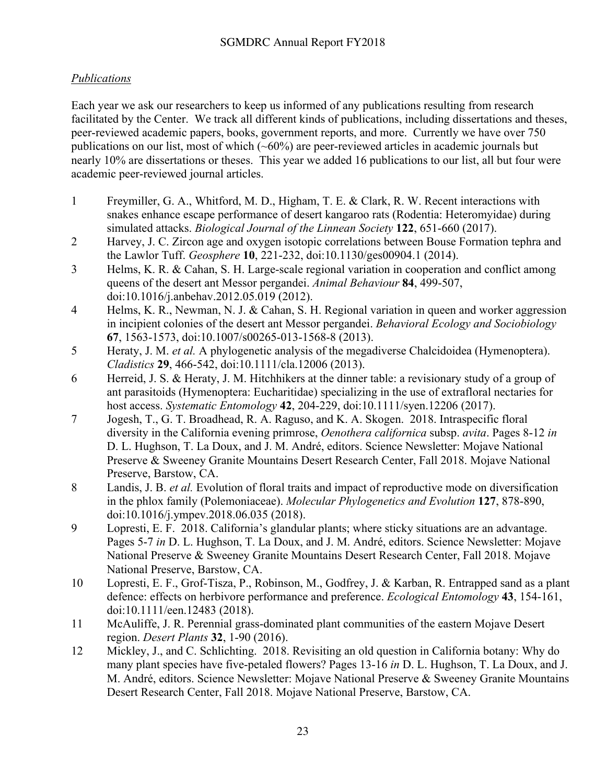## *Publications*

Each year we ask our researchers to keep us informed of any publications resulting from research facilitated by the Center. We track all different kinds of publications, including dissertations and theses, peer-reviewed academic papers, books, government reports, and more. Currently we have over 750 publications on our list, most of which (~60%) are peer-reviewed articles in academic journals but nearly 10% are dissertations or theses. This year we added 16 publications to our list, all but four were academic peer-reviewed journal articles.

- 1 Freymiller, G. A., Whitford, M. D., Higham, T. E. & Clark, R. W. Recent interactions with snakes enhance escape performance of desert kangaroo rats (Rodentia: Heteromyidae) during simulated attacks. *Biological Journal of the Linnean Society* **122**, 651-660 (2017).
- 2 Harvey, J. C. Zircon age and oxygen isotopic correlations between Bouse Formation tephra and the Lawlor Tuff. *Geosphere* **10**, 221-232, doi:10.1130/ges00904.1 (2014).
- 3 Helms, K. R. & Cahan, S. H. Large-scale regional variation in cooperation and conflict among queens of the desert ant Messor pergandei. *Animal Behaviour* **84**, 499-507, doi:10.1016/j.anbehav.2012.05.019 (2012).
- 4 Helms, K. R., Newman, N. J. & Cahan, S. H. Regional variation in queen and worker aggression in incipient colonies of the desert ant Messor pergandei. *Behavioral Ecology and Sociobiology* **67**, 1563-1573, doi:10.1007/s00265-013-1568-8 (2013).
- 5 Heraty, J. M. *et al.* A phylogenetic analysis of the megadiverse Chalcidoidea (Hymenoptera). *Cladistics* **29**, 466-542, doi:10.1111/cla.12006 (2013).
- 6 Herreid, J. S. & Heraty, J. M. Hitchhikers at the dinner table: a revisionary study of a group of ant parasitoids (Hymenoptera: Eucharitidae) specializing in the use of extrafloral nectaries for host access. *Systematic Entomology* **42**, 204-229, doi:10.1111/syen.12206 (2017).
- 7 Jogesh, T., G. T. Broadhead, R. A. Raguso, and K. A. Skogen. 2018. Intraspecific floral diversity in the California evening primrose, *Oenothera californica* subsp. *avita*. Pages 8-12 *in* D. L. Hughson, T. La Doux, and J. M. André, editors. Science Newsletter: Mojave National Preserve & Sweeney Granite Mountains Desert Research Center, Fall 2018. Mojave National Preserve, Barstow, CA.
- 8 Landis, J. B. *et al.* Evolution of floral traits and impact of reproductive mode on diversification in the phlox family (Polemoniaceae). *Molecular Phylogenetics and Evolution* **127**, 878-890, doi:10.1016/j.ympev.2018.06.035 (2018).
- 9 Lopresti, E. F. 2018. California's glandular plants; where sticky situations are an advantage. Pages 5-7 *in* D. L. Hughson, T. La Doux, and J. M. André, editors. Science Newsletter: Mojave National Preserve & Sweeney Granite Mountains Desert Research Center, Fall 2018. Mojave National Preserve, Barstow, CA.
- 10 Lopresti, E. F., Grof-Tisza, P., Robinson, M., Godfrey, J. & Karban, R. Entrapped sand as a plant defence: effects on herbivore performance and preference. *Ecological Entomology* **43**, 154-161, doi:10.1111/een.12483 (2018).
- 11 McAuliffe, J. R. Perennial grass-dominated plant communities of the eastern Mojave Desert region. *Desert Plants* **32**, 1-90 (2016).
- 12 Mickley, J., and C. Schlichting. 2018. Revisiting an old question in California botany: Why do many plant species have five-petaled flowers? Pages 13-16 *in* D. L. Hughson, T. La Doux, and J. M. André, editors. Science Newsletter: Mojave National Preserve & Sweeney Granite Mountains Desert Research Center, Fall 2018. Mojave National Preserve, Barstow, CA.